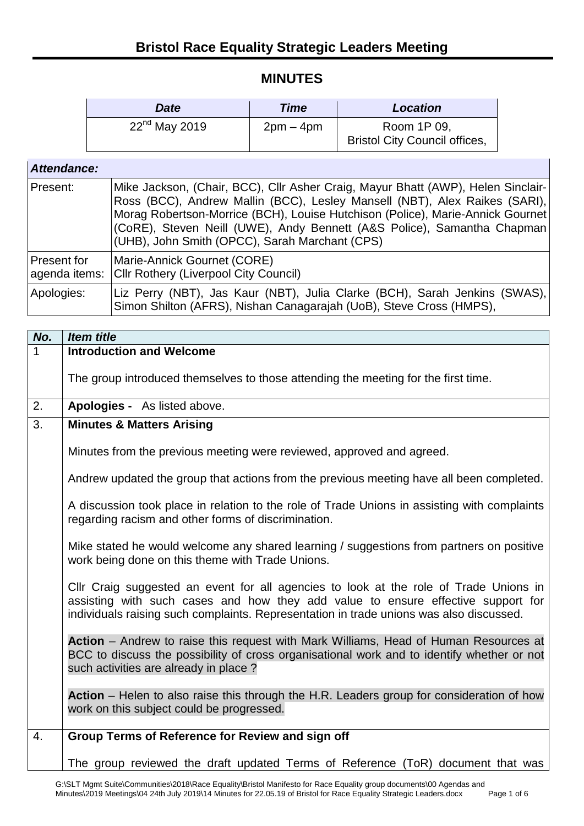## **MINUTES**

| Date               | <b>Time</b> | Location                             |
|--------------------|-------------|--------------------------------------|
| $22^{nd}$ May 2019 | $2pm-4pm$   | Room 1P 09,                          |
|                    |             | <b>Bristol City Council offices,</b> |

## *Attendance:*

| Present:    | Mike Jackson, (Chair, BCC), Cllr Asher Craig, Mayur Bhatt (AWP), Helen Sinclair-<br>Ross (BCC), Andrew Mallin (BCC), Lesley Mansell (NBT), Alex Raikes (SARI),<br>Morag Robertson-Morrice (BCH), Louise Hutchison (Police), Marie-Annick Gournet<br>(CoRE), Steven Neill (UWE), Andy Bennett (A&S Police), Samantha Chapman<br>(UHB), John Smith (OPCC), Sarah Marchant (CPS) |
|-------------|-------------------------------------------------------------------------------------------------------------------------------------------------------------------------------------------------------------------------------------------------------------------------------------------------------------------------------------------------------------------------------|
| Present for | Marie-Annick Gournet (CORE)<br>agenda items: Cllr Rothery (Liverpool City Council)                                                                                                                                                                                                                                                                                            |
| Apologies:  | Liz Perry (NBT), Jas Kaur (NBT), Julia Clarke (BCH), Sarah Jenkins (SWAS),<br>Simon Shilton (AFRS), Nishan Canagarajah (UoB), Steve Cross (HMPS),                                                                                                                                                                                                                             |

| No. | <b>Item title</b>                                                                                                                                                                                                                                                    |
|-----|----------------------------------------------------------------------------------------------------------------------------------------------------------------------------------------------------------------------------------------------------------------------|
| 1   | <b>Introduction and Welcome</b>                                                                                                                                                                                                                                      |
|     | The group introduced themselves to those attending the meeting for the first time.                                                                                                                                                                                   |
| 2.  | Apologies - As listed above.                                                                                                                                                                                                                                         |
| 3.  | <b>Minutes &amp; Matters Arising</b>                                                                                                                                                                                                                                 |
|     | Minutes from the previous meeting were reviewed, approved and agreed.                                                                                                                                                                                                |
|     | Andrew updated the group that actions from the previous meeting have all been completed.                                                                                                                                                                             |
|     | A discussion took place in relation to the role of Trade Unions in assisting with complaints<br>regarding racism and other forms of discrimination.                                                                                                                  |
|     | Mike stated he would welcome any shared learning / suggestions from partners on positive<br>work being done on this theme with Trade Unions.                                                                                                                         |
|     | Cllr Craig suggested an event for all agencies to look at the role of Trade Unions in<br>assisting with such cases and how they add value to ensure effective support for<br>individuals raising such complaints. Representation in trade unions was also discussed. |
|     | Action - Andrew to raise this request with Mark Williams, Head of Human Resources at<br>BCC to discuss the possibility of cross organisational work and to identify whether or not<br>such activities are already in place?                                          |
|     | Action – Helen to also raise this through the H.R. Leaders group for consideration of how<br>work on this subject could be progressed.                                                                                                                               |
| 4.  | Group Terms of Reference for Review and sign off                                                                                                                                                                                                                     |
|     | The group reviewed the draft updated Terms of Reference (ToR) document that was                                                                                                                                                                                      |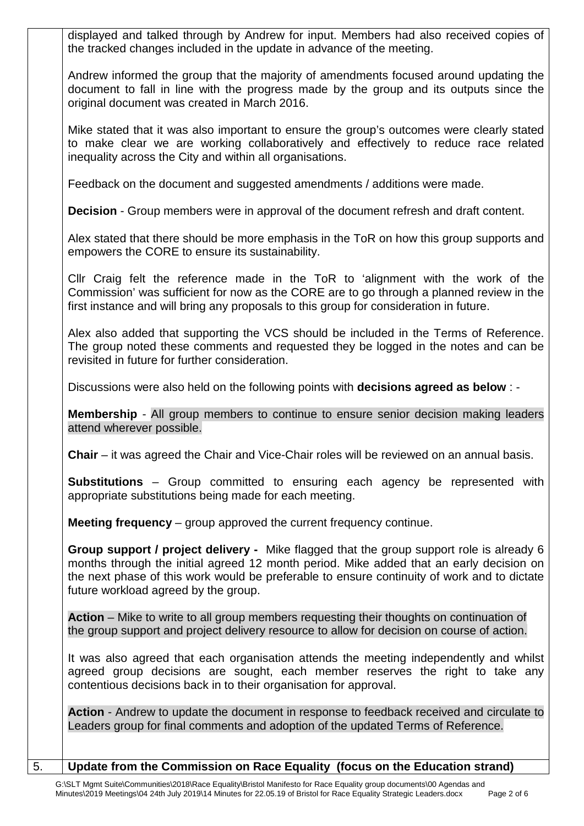displayed and talked through by Andrew for input. Members had also received copies of the tracked changes included in the update in advance of the meeting.

Andrew informed the group that the majority of amendments focused around updating the document to fall in line with the progress made by the group and its outputs since the original document was created in March 2016.

Mike stated that it was also important to ensure the group's outcomes were clearly stated to make clear we are working collaboratively and effectively to reduce race related inequality across the City and within all organisations.

Feedback on the document and suggested amendments / additions were made.

**Decision** - Group members were in approval of the document refresh and draft content.

Alex stated that there should be more emphasis in the ToR on how this group supports and empowers the CORE to ensure its sustainability.

Cllr Craig felt the reference made in the ToR to 'alignment with the work of the Commission' was sufficient for now as the CORE are to go through a planned review in the first instance and will bring any proposals to this group for consideration in future.

Alex also added that supporting the VCS should be included in the Terms of Reference. The group noted these comments and requested they be logged in the notes and can be revisited in future for further consideration.

Discussions were also held on the following points with **decisions agreed as below** : -

**Membership** - All group members to continue to ensure senior decision making leaders attend wherever possible.

**Chair** – it was agreed the Chair and Vice-Chair roles will be reviewed on an annual basis.

**Substitutions** – Group committed to ensuring each agency be represented with appropriate substitutions being made for each meeting.

**Meeting frequency** – group approved the current frequency continue.

**Group support / project delivery -** Mike flagged that the group support role is already 6 months through the initial agreed 12 month period. Mike added that an early decision on the next phase of this work would be preferable to ensure continuity of work and to dictate future workload agreed by the group.

**Action** – Mike to write to all group members requesting their thoughts on continuation of the group support and project delivery resource to allow for decision on course of action.

It was also agreed that each organisation attends the meeting independently and whilst agreed group decisions are sought, each member reserves the right to take any contentious decisions back in to their organisation for approval.

**Action** - Andrew to update the document in response to feedback received and circulate to Leaders group for final comments and adoption of the updated Terms of Reference.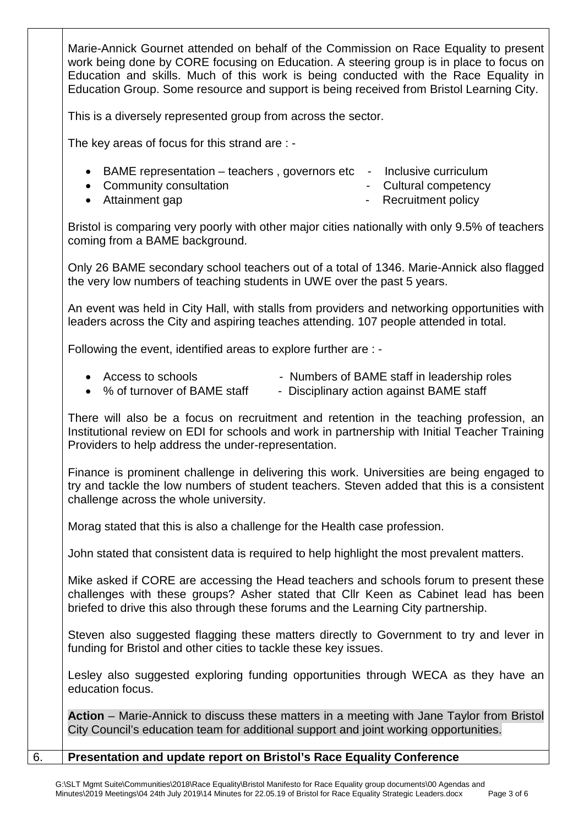Marie-Annick Gournet attended on behalf of the Commission on Race Equality to present work being done by CORE focusing on Education. A steering group is in place to focus on Education and skills. Much of this work is being conducted with the Race Equality in Education Group. Some resource and support is being received from Bristol Learning City.

This is a diversely represented group from across the sector.

The key areas of focus for this strand are : -

- BAME representation teachers, governors etc Inclusive curriculum
- Community consultation  **Cultural competency**
- Attainment gap  $\bullet$  Attainment gap
- 

Bristol is comparing very poorly with other major cities nationally with only 9.5% of teachers coming from a BAME background.

Only 26 BAME secondary school teachers out of a total of 1346. Marie-Annick also flagged the very low numbers of teaching students in UWE over the past 5 years.

An event was held in City Hall, with stalls from providers and networking opportunities with leaders across the City and aspiring teaches attending. 107 people attended in total.

Following the event, identified areas to explore further are : -

- Access to schools **Exercise Set Access** to schools **Access** to schools
- % of turnover of BAME staff Disciplinary action against BAME staff

There will also be a focus on recruitment and retention in the teaching profession, an Institutional review on EDI for schools and work in partnership with Initial Teacher Training Providers to help address the under-representation.

Finance is prominent challenge in delivering this work. Universities are being engaged to try and tackle the low numbers of student teachers. Steven added that this is a consistent challenge across the whole university.

Morag stated that this is also a challenge for the Health case profession.

John stated that consistent data is required to help highlight the most prevalent matters.

Mike asked if CORE are accessing the Head teachers and schools forum to present these challenges with these groups? Asher stated that Cllr Keen as Cabinet lead has been briefed to drive this also through these forums and the Learning City partnership.

Steven also suggested flagging these matters directly to Government to try and lever in funding for Bristol and other cities to tackle these key issues.

Lesley also suggested exploring funding opportunities through WECA as they have an education focus.

**Action** – Marie-Annick to discuss these matters in a meeting with Jane Taylor from Bristol City Council's education team for additional support and joint working opportunities.

6. **Presentation and update report on Bristol's Race Equality Conference**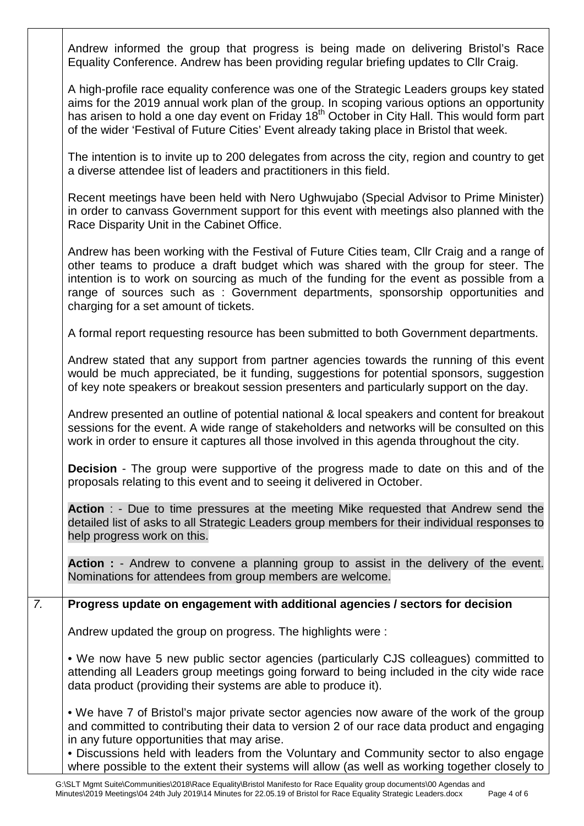|                  | Andrew informed the group that progress is being made on delivering Bristol's Race<br>Equality Conference. Andrew has been providing regular briefing updates to Cllr Craig.                                                                                                                                                                                                                                |
|------------------|-------------------------------------------------------------------------------------------------------------------------------------------------------------------------------------------------------------------------------------------------------------------------------------------------------------------------------------------------------------------------------------------------------------|
|                  | A high-profile race equality conference was one of the Strategic Leaders groups key stated<br>aims for the 2019 annual work plan of the group. In scoping various options an opportunity<br>has arisen to hold a one day event on Friday 18 <sup>th</sup> October in City Hall. This would form part<br>of the wider 'Festival of Future Cities' Event already taking place in Bristol that week.           |
|                  | The intention is to invite up to 200 delegates from across the city, region and country to get<br>a diverse attendee list of leaders and practitioners in this field.                                                                                                                                                                                                                                       |
|                  | Recent meetings have been held with Nero Ughwujabo (Special Advisor to Prime Minister)<br>in order to canvass Government support for this event with meetings also planned with the<br>Race Disparity Unit in the Cabinet Office.                                                                                                                                                                           |
|                  | Andrew has been working with the Festival of Future Cities team, Cllr Craig and a range of<br>other teams to produce a draft budget which was shared with the group for steer. The<br>intention is to work on sourcing as much of the funding for the event as possible from a<br>range of sources such as : Government departments, sponsorship opportunities and<br>charging for a set amount of tickets. |
|                  | A formal report requesting resource has been submitted to both Government departments.                                                                                                                                                                                                                                                                                                                      |
|                  | Andrew stated that any support from partner agencies towards the running of this event<br>would be much appreciated, be it funding, suggestions for potential sponsors, suggestion<br>of key note speakers or breakout session presenters and particularly support on the day.                                                                                                                              |
|                  | Andrew presented an outline of potential national & local speakers and content for breakout<br>sessions for the event. A wide range of stakeholders and networks will be consulted on this<br>work in order to ensure it captures all those involved in this agenda throughout the city.                                                                                                                    |
|                  | <b>Decision</b> - The group were supportive of the progress made to date on this and of the<br>proposals relating to this event and to seeing it delivered in October.                                                                                                                                                                                                                                      |
|                  | Action : - Due to time pressures at the meeting Mike requested that Andrew send the<br>detailed list of asks to all Strategic Leaders group members for their individual responses to<br>help progress work on this.                                                                                                                                                                                        |
|                  | Action : - Andrew to convene a planning group to assist in the delivery of the event.<br>Nominations for attendees from group members are welcome.                                                                                                                                                                                                                                                          |
| $\overline{7}$ . | Progress update on engagement with additional agencies / sectors for decision                                                                                                                                                                                                                                                                                                                               |
|                  | Andrew updated the group on progress. The highlights were:                                                                                                                                                                                                                                                                                                                                                  |
|                  | • We now have 5 new public sector agencies (particularly CJS colleagues) committed to<br>attending all Leaders group meetings going forward to being included in the city wide race<br>data product (providing their systems are able to produce it).                                                                                                                                                       |
|                  | . We have 7 of Bristol's major private sector agencies now aware of the work of the group<br>and committed to contributing their data to version 2 of our race data product and engaging<br>in any future opportunities that may arise.<br>• Discussions held with leaders from the Voluntary and Community sector to also engage                                                                           |
|                  | where possible to the extent their systems will allow (as well as working together closely to                                                                                                                                                                                                                                                                                                               |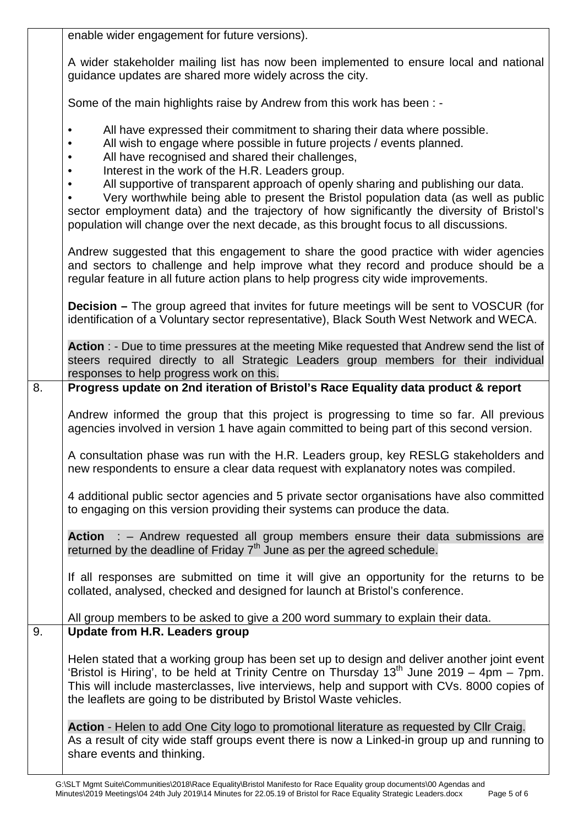|    | enable wider engagement for future versions).                                                                                                                                                                                                                                                                                                                                                                                                                                                                                                                                                                                                                                                    |
|----|--------------------------------------------------------------------------------------------------------------------------------------------------------------------------------------------------------------------------------------------------------------------------------------------------------------------------------------------------------------------------------------------------------------------------------------------------------------------------------------------------------------------------------------------------------------------------------------------------------------------------------------------------------------------------------------------------|
|    | A wider stakeholder mailing list has now been implemented to ensure local and national<br>guidance updates are shared more widely across the city.                                                                                                                                                                                                                                                                                                                                                                                                                                                                                                                                               |
|    | Some of the main highlights raise by Andrew from this work has been : -                                                                                                                                                                                                                                                                                                                                                                                                                                                                                                                                                                                                                          |
|    | All have expressed their commitment to sharing their data where possible.<br>$\bullet$<br>All wish to engage where possible in future projects / events planned.<br>$\bullet$<br>All have recognised and shared their challenges,<br>$\bullet$<br>Interest in the work of the H.R. Leaders group.<br>$\bullet$<br>All supportive of transparent approach of openly sharing and publishing our data.<br>$\bullet$<br>Very worthwhile being able to present the Bristol population data (as well as public<br>sector employment data) and the trajectory of how significantly the diversity of Bristol's<br>population will change over the next decade, as this brought focus to all discussions. |
|    | Andrew suggested that this engagement to share the good practice with wider agencies<br>and sectors to challenge and help improve what they record and produce should be a<br>regular feature in all future action plans to help progress city wide improvements.                                                                                                                                                                                                                                                                                                                                                                                                                                |
|    | <b>Decision</b> – The group agreed that invites for future meetings will be sent to VOSCUR (for<br>identification of a Voluntary sector representative), Black South West Network and WECA.                                                                                                                                                                                                                                                                                                                                                                                                                                                                                                      |
|    | Action : - Due to time pressures at the meeting Mike requested that Andrew send the list of<br>steers required directly to all Strategic Leaders group members for their individual<br>responses to help progress work on this.                                                                                                                                                                                                                                                                                                                                                                                                                                                                  |
| 8. | Progress update on 2nd iteration of Bristol's Race Equality data product & report                                                                                                                                                                                                                                                                                                                                                                                                                                                                                                                                                                                                                |
|    | Andrew informed the group that this project is progressing to time so far. All previous<br>agencies involved in version 1 have again committed to being part of this second version.                                                                                                                                                                                                                                                                                                                                                                                                                                                                                                             |
|    | A consultation phase was run with the H.R. Leaders group, key RESLG stakeholders and<br>new respondents to ensure a clear data request with explanatory notes was compiled.                                                                                                                                                                                                                                                                                                                                                                                                                                                                                                                      |
|    | 4 additional public sector agencies and 5 private sector organisations have also committed<br>to engaging on this version providing their systems can produce the data.                                                                                                                                                                                                                                                                                                                                                                                                                                                                                                                          |
|    | Action : - Andrew requested all group members ensure their data submissions are<br>returned by the deadline of Friday 7 <sup>th</sup> June as per the agreed schedule.                                                                                                                                                                                                                                                                                                                                                                                                                                                                                                                           |
|    | If all responses are submitted on time it will give an opportunity for the returns to be<br>collated, analysed, checked and designed for launch at Bristol's conference.                                                                                                                                                                                                                                                                                                                                                                                                                                                                                                                         |
|    | All group members to be asked to give a 200 word summary to explain their data.                                                                                                                                                                                                                                                                                                                                                                                                                                                                                                                                                                                                                  |
| 9. | <b>Update from H.R. Leaders group</b>                                                                                                                                                                                                                                                                                                                                                                                                                                                                                                                                                                                                                                                            |
|    | Helen stated that a working group has been set up to design and deliver another joint event<br>'Bristol is Hiring', to be held at Trinity Centre on Thursday $13th$ June 2019 – 4pm – 7pm.<br>This will include masterclasses, live interviews, help and support with CVs. 8000 copies of<br>the leaflets are going to be distributed by Bristol Waste vehicles.                                                                                                                                                                                                                                                                                                                                 |
|    | Action - Helen to add One City logo to promotional literature as requested by Cllr Craig.<br>As a result of city wide staff groups event there is now a Linked-in group up and running to<br>share events and thinking.                                                                                                                                                                                                                                                                                                                                                                                                                                                                          |